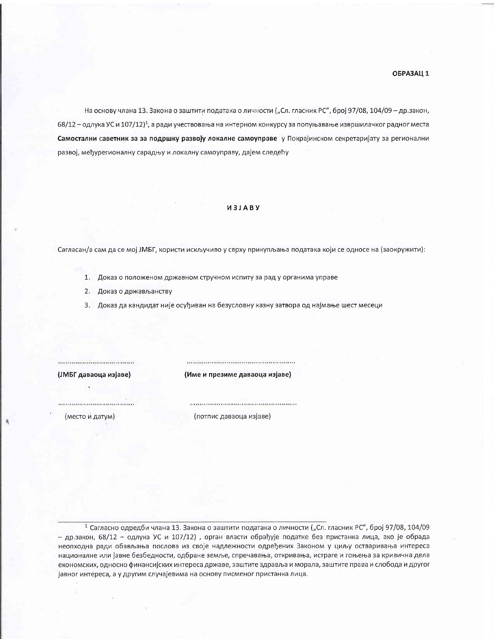На основу члана 13. Закона о заштити података о личности ("Сл. гласник РС", број 97/08, 104/09 - др.закон, 68/12 - одлука УС и 107/12)<sup>1</sup>, а ради учествовања на интерном конкурсу за попуњавање извршилачког радног места Самостални саветник за за подршку развоју локалне самоуправе у Покрајинском секретаријату за регионални развој, међурегионалну сарадњу и локалну самоуправу, дајем следећу

## *<u>U3JABY</u>*

Сагласан/а сам да се мој ЈМБГ, користи искључиво у сврху прикупљања података који се односе на (заокружити):

- 1. Доказ о положеном државном стручном испиту за рад у органима управе
- 2. Доказ о држављанству
- 3. Доказ да кандидат није осуђиван на безусловну казну затвора од најмање шест месеци

................................. (ЈМБГ даваоца изјаве)

(Име и презиме даваоца изјаве)

(место и датум)

(потпис даваоца изјаве)

<sup>1</sup> Сагласно одредби члана 13. Закона о заштити података о личности ("Сл. гласник РС", број 97/08, 104/09 - др.закон, 68/12 + одлука УС и 107/12), орган власти обрађује податке без пристанка лица, ако је обрада неопходна ради обављања послова из своје надлежности одређених Законом у циљу остваривања интереса националне или јавне безбедности, одбране земље, спречавања, откривања, истраге и гоњења за кривична дела економских, односно финансијских интереса државе, заштите здравља и морала, заштите права и слобода и другог јавног интереса, а у другим случајевима на основу писменог пристанка лица.